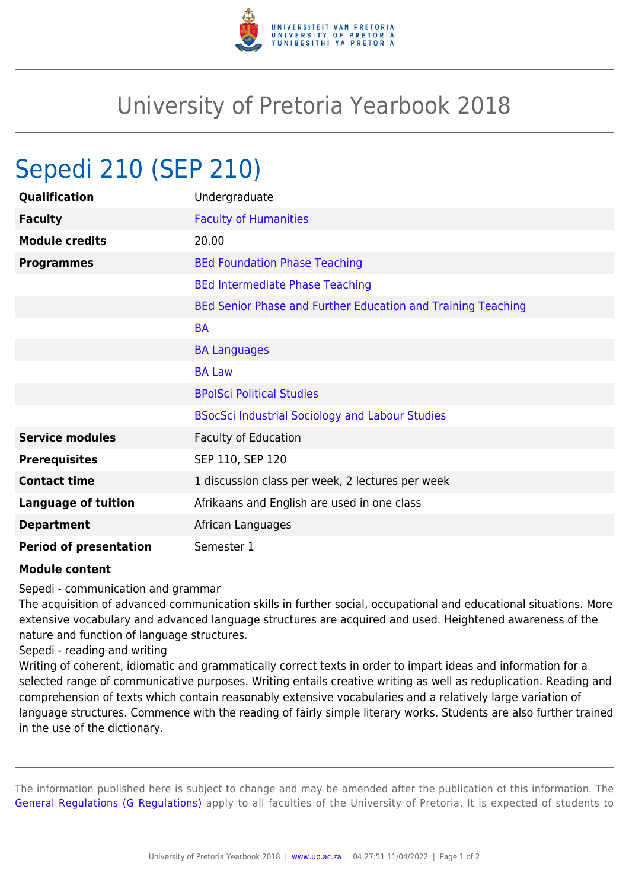

## University of Pretoria Yearbook 2018

## Sepedi 210 (SEP 210)

| Qualification                 | Undergraduate                                                |
|-------------------------------|--------------------------------------------------------------|
| <b>Faculty</b>                | <b>Faculty of Humanities</b>                                 |
| <b>Module credits</b>         | 20.00                                                        |
| <b>Programmes</b>             | <b>BEd Foundation Phase Teaching</b>                         |
|                               | <b>BEd Intermediate Phase Teaching</b>                       |
|                               | BEd Senior Phase and Further Education and Training Teaching |
|                               | <b>BA</b>                                                    |
|                               | <b>BA Languages</b>                                          |
|                               | <b>BA Law</b>                                                |
|                               | <b>BPolSci Political Studies</b>                             |
|                               | <b>BSocSci Industrial Sociology and Labour Studies</b>       |
| <b>Service modules</b>        | <b>Faculty of Education</b>                                  |
| <b>Prerequisites</b>          | SEP 110, SEP 120                                             |
| <b>Contact time</b>           | 1 discussion class per week, 2 lectures per week             |
| <b>Language of tuition</b>    | Afrikaans and English are used in one class                  |
| <b>Department</b>             | African Languages                                            |
| <b>Period of presentation</b> | Semester 1                                                   |

## **Module content**

Sepedi - communication and grammar

The acquisition of advanced communication skills in further social, occupational and educational situations. More extensive vocabulary and advanced language structures are acquired and used. Heightened awareness of the nature and function of language structures.

Sepedi - reading and writing

Writing of coherent, idiomatic and grammatically correct texts in order to impart ideas and information for a selected range of communicative purposes. Writing entails creative writing as well as reduplication. Reading and comprehension of texts which contain reasonably extensive vocabularies and a relatively large variation of language structures. Commence with the reading of fairly simple literary works. Students are also further trained in the use of the dictionary.

The information published here is subject to change and may be amended after the publication of this information. The [General Regulations \(G Regulations\)](https://www.up.ac.za/faculty-of-education/yearbooks/2018/rules/view/REG) apply to all faculties of the University of Pretoria. It is expected of students to